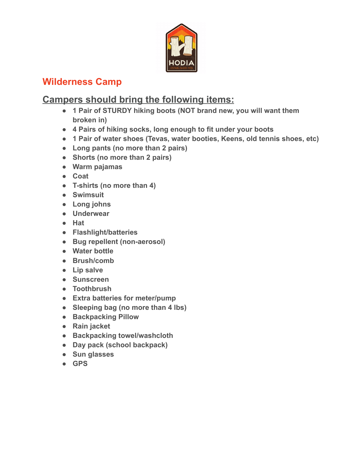

## **Wilderness Camp**

## **Campers should bring the following items:**

- **● 1 Pair of STURDY hiking boots (NOT brand new, you will want them broken in)**
- **● 4 Pairs of hiking socks, long enough to fit under your boots**
- **● 1 Pair of water shoes (Tevas, water booties, Keens, old tennis shoes, etc)**
- **● Long pants (no more than 2 pairs)**
- **● Shorts (no more than 2 pairs)**
- **● Warm pajamas**
- **● Coat**
- **● T-shirts (no more than 4)**
- **● Swimsuit**
- **● Long johns**
- **● Underwear**
- **● Hat**
- **● Flashlight/batteries**
- **● Bug repellent (non-aerosol)**
- **● Water bottle**
- **● Brush/comb**
- **● Lip salve**
- **● Sunscreen**
- **● Toothbrush**
- **● Extra batteries for meter/pump**
- **● Sleeping bag (no more than 4 lbs)**
- **● Backpacking Pillow**
- **● Rain jacket**
- **● Backpacking towel/washcloth**
- **● Day pack (school backpack)**
- **● Sun glasses**
- **● GPS**